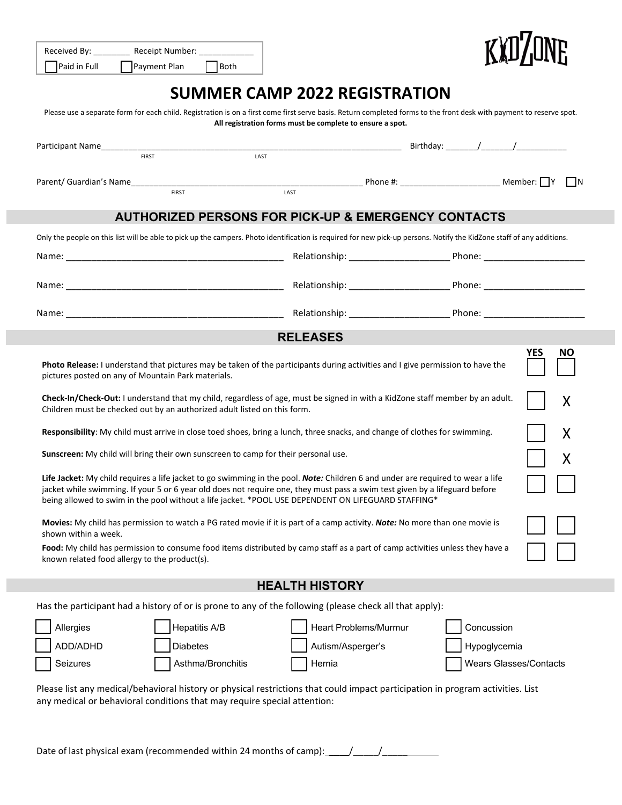| Received By: _________ Receipt Number: ____________                                                                                                                                                                                                                                                                                                                   |                                      |                               |  |  |  |  |
|-----------------------------------------------------------------------------------------------------------------------------------------------------------------------------------------------------------------------------------------------------------------------------------------------------------------------------------------------------------------------|--------------------------------------|-------------------------------|--|--|--|--|
| $\Box$ Both<br>Paid in Full<br>Payment Plan                                                                                                                                                                                                                                                                                                                           |                                      |                               |  |  |  |  |
|                                                                                                                                                                                                                                                                                                                                                                       | <b>SUMMER CAMP 2022 REGISTRATION</b> |                               |  |  |  |  |
|                                                                                                                                                                                                                                                                                                                                                                       |                                      |                               |  |  |  |  |
| Please use a separate form for each child. Registration is on a first come first serve basis. Return completed forms to the front desk with payment to reserve spot.<br>All registration forms must be complete to ensure a spot.                                                                                                                                     |                                      |                               |  |  |  |  |
| Participant Name Finst The Contract Contract Contract Contract Contract Contract Contract Contract Contract Contract Contract Contract Contract Contract Contract Contract Contract Contract Contract Contract Contract Contra                                                                                                                                        |                                      |                               |  |  |  |  |
|                                                                                                                                                                                                                                                                                                                                                                       |                                      |                               |  |  |  |  |
|                                                                                                                                                                                                                                                                                                                                                                       |                                      |                               |  |  |  |  |
|                                                                                                                                                                                                                                                                                                                                                                       |                                      |                               |  |  |  |  |
| <b>AUTHORIZED PERSONS FOR PICK-UP &amp; EMERGENCY CONTACTS</b>                                                                                                                                                                                                                                                                                                        |                                      |                               |  |  |  |  |
| Only the people on this list will be able to pick up the campers. Photo identification is required for new pick-up persons. Notify the KidZone staff of any additions.                                                                                                                                                                                                |                                      |                               |  |  |  |  |
|                                                                                                                                                                                                                                                                                                                                                                       |                                      |                               |  |  |  |  |
|                                                                                                                                                                                                                                                                                                                                                                       |                                      |                               |  |  |  |  |
|                                                                                                                                                                                                                                                                                                                                                                       |                                      |                               |  |  |  |  |
|                                                                                                                                                                                                                                                                                                                                                                       | <b>RELEASES</b>                      |                               |  |  |  |  |
| YES<br><b>NO</b><br>Photo Release: I understand that pictures may be taken of the participants during activities and I give permission to have the<br>pictures posted on any of Mountain Park materials.<br>Check-In/Check-Out: I understand that my child, regardless of age, must be signed in with a KidZone staff member by an adult.                             |                                      |                               |  |  |  |  |
| Children must be checked out by an authorized adult listed on this form.                                                                                                                                                                                                                                                                                              |                                      | X                             |  |  |  |  |
| Responsibility: My child must arrive in close toed shoes, bring a lunch, three snacks, and change of clothes for swimming.                                                                                                                                                                                                                                            |                                      | X                             |  |  |  |  |
| Sunscreen: My child will bring their own sunscreen to camp for their personal use.                                                                                                                                                                                                                                                                                    |                                      | X                             |  |  |  |  |
| Life Jacket: My child requires a life jacket to go swimming in the pool. Note: Children 6 and under are required to wear a life<br>jacket while swimming. If your 5 or 6 year old does not require one, they must pass a swim test given by a lifeguard before<br>being allowed to swim in the pool without a life jacket. *POOL USE DEPENDENT ON LIFEGUARD STAFFING* |                                      |                               |  |  |  |  |
| Movies: My child has permission to watch a PG rated movie if it is part of a camp activity. Note: No more than one movie is<br>shown within a week.                                                                                                                                                                                                                   |                                      |                               |  |  |  |  |
| Food: My child has permission to consume food items distributed by camp staff as a part of camp activities unless they have a<br>known related food allergy to the product(s).                                                                                                                                                                                        |                                      |                               |  |  |  |  |
| <b>HEALTH HISTORY</b>                                                                                                                                                                                                                                                                                                                                                 |                                      |                               |  |  |  |  |
| Has the participant had a history of or is prone to any of the following (please check all that apply):                                                                                                                                                                                                                                                               |                                      |                               |  |  |  |  |
| Hepatitis A/B<br>Allergies                                                                                                                                                                                                                                                                                                                                            | Heart Problems/Murmur                | Concussion                    |  |  |  |  |
| ADD/ADHD<br><b>Diabetes</b>                                                                                                                                                                                                                                                                                                                                           | Autism/Asperger's                    | Hypoglycemia                  |  |  |  |  |
| Asthma/Bronchitis<br>Seizures                                                                                                                                                                                                                                                                                                                                         | Hernia                               | <b>Wears Glasses/Contacts</b> |  |  |  |  |
| Please list any medical/behavioral history or physical restrictions that could impact participation in program activities. List<br>any medical or behavioral conditions that may require special attention:                                                                                                                                                           |                                      |                               |  |  |  |  |

-

Date of last physical exam (recommended within 24 months of camp): \_\_\_\_\_/\_\_\_\_\_\_\_\_